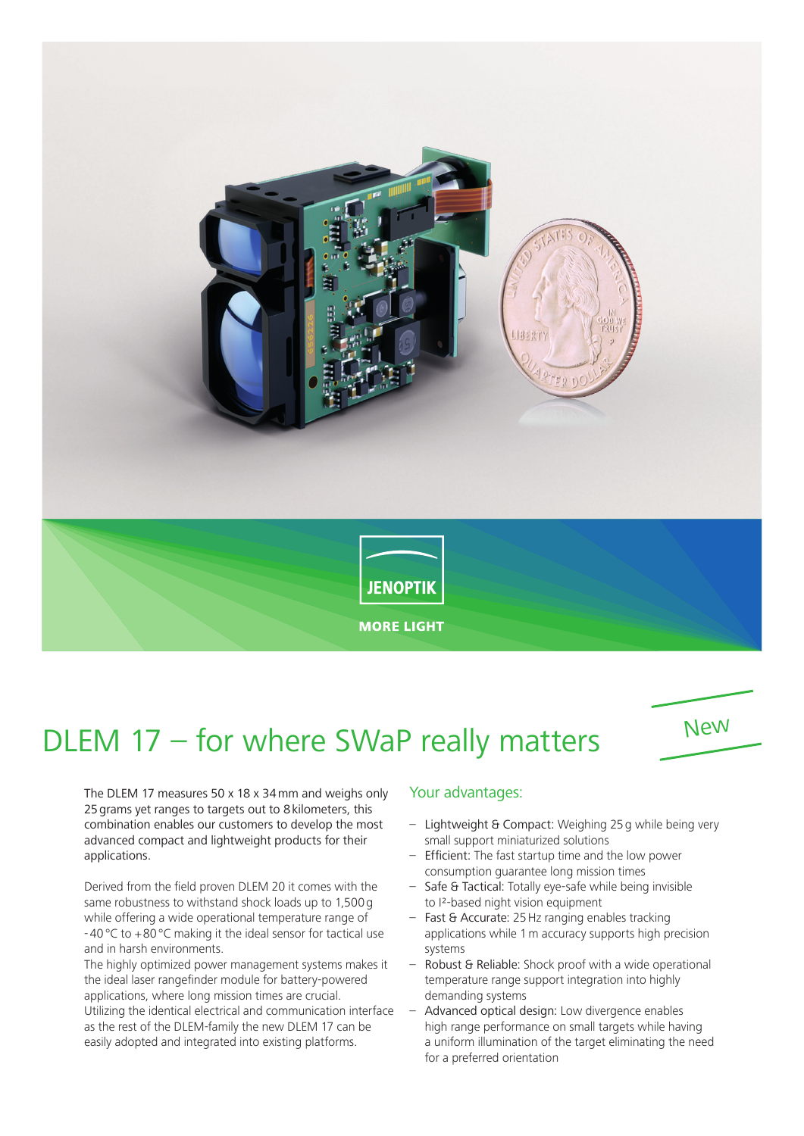

## DLEM 17 – for where SWaP really matters



The DLEM 17 measures 50 x 18 x 34mm and weighs only 25 grams yet ranges to targets out to 8 kilometers, this combination enables our customers to develop the most advanced compact and lightweight products for their applications.

Derived from the field proven DLEM 20 it comes with the same robustness to withstand shock loads up to 1,500g while offering a wide operational temperature range of -40°C to +80°C making it the ideal sensor for tactical use and in harsh environments.

The highly optimized power management systems makes it the ideal laser rangefinder module for battery-powered applications, where long mission times are crucial. Utilizing the identical electrical and communication interface as the rest of the DLEM-family the new DLEM 17 can be easily adopted and integrated into existing platforms.

## Your advantages:

- Lightweight & Compact: Weighing 25g while being very small support miniaturized solutions
- Efficient: The fast startup time and the low power consumption guarantee long mission times
- Safe & Tactical: Totally eye-safe while being invisible to I²-based night vision equipment
- Fast & Accurate: 25 Hz ranging enables tracking applications while 1m accuracy supports high precision systems
- Robust & Reliable: Shock proof with a wide operational temperature range support integration into highly demanding systems
- Advanced optical design: Low divergence enables high range performance on small targets while having a uniform illumination of the target eliminating the need for a preferred orientation